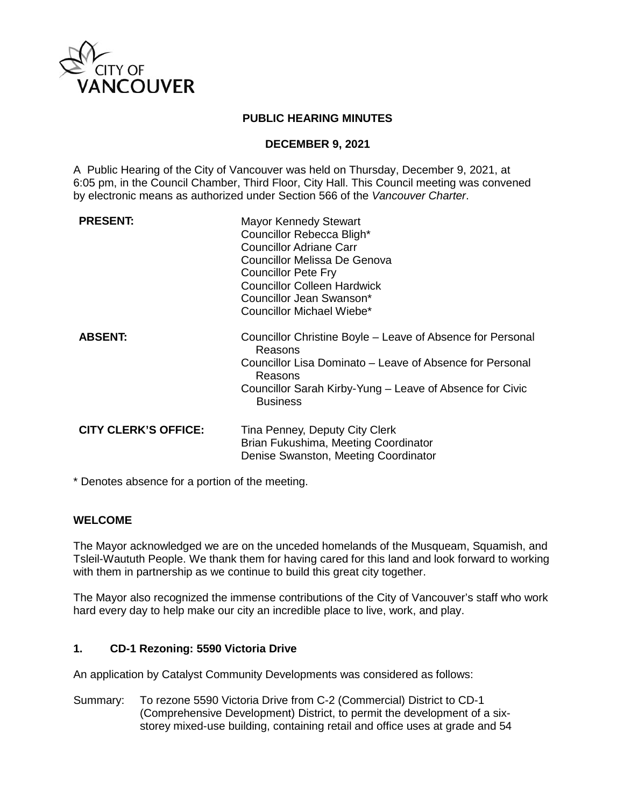

### **PUBLIC HEARING MINUTES**

### **DECEMBER 9, 2021**

A Public Hearing of the City of Vancouver was held on Thursday, December 9, 2021, at 6:05 pm, in the Council Chamber, Third Floor, City Hall. This Council meeting was convened by electronic means as authorized under Section 566 of the *Vancouver Charter*.

| <b>PRESENT:</b>             | <b>Mayor Kennedy Stewart</b><br>Councillor Rebecca Bligh*<br>Councillor Adriane Carr<br>Councillor Melissa De Genova<br><b>Councillor Pete Fry</b><br><b>Councillor Colleen Hardwick</b><br>Councillor Jean Swanson*<br>Councillor Michael Wiebe* |
|-----------------------------|---------------------------------------------------------------------------------------------------------------------------------------------------------------------------------------------------------------------------------------------------|
| <b>ABSENT:</b>              | Councillor Christine Boyle – Leave of Absence for Personal<br>Reasons<br>Councillor Lisa Dominato – Leave of Absence for Personal<br>Reasons<br>Councillor Sarah Kirby-Yung – Leave of Absence for Civic<br><b>Business</b>                       |
| <b>CITY CLERK'S OFFICE:</b> | Tina Penney, Deputy City Clerk<br>Brian Fukushima, Meeting Coordinator<br>Denise Swanston, Meeting Coordinator                                                                                                                                    |

\* Denotes absence for a portion of the meeting.

# **WELCOME**

The Mayor acknowledged we are on the unceded homelands of the Musqueam, Squamish, and Tsleil-Waututh People. We thank them for having cared for this land and look forward to working with them in partnership as we continue to build this great city together.

The Mayor also recognized the immense contributions of the City of Vancouver's staff who work hard every day to help make our city an incredible place to live, work, and play.

#### **1. CD-1 Rezoning: 5590 Victoria Drive**

An application by Catalyst Community Developments was considered as follows:

Summary: To rezone 5590 Victoria Drive from C-2 (Commercial) District to CD-1 (Comprehensive Development) District, to permit the development of a sixstorey mixed-use building, containing retail and office uses at grade and 54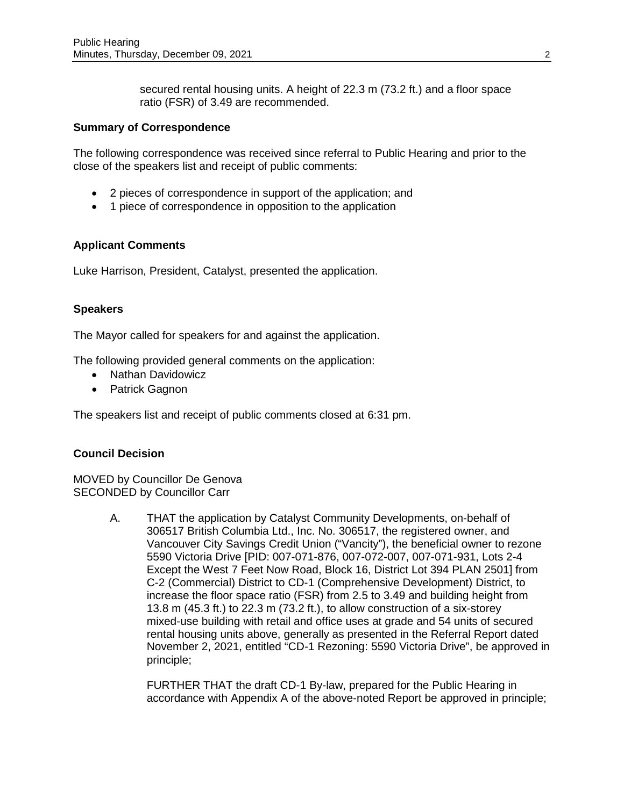secured rental housing units. A height of 22.3 m (73.2 ft.) and a floor space ratio (FSR) of 3.49 are recommended.

#### **Summary of Correspondence**

The following correspondence was received since referral to Public Hearing and prior to the close of the speakers list and receipt of public comments:

- 2 pieces of correspondence in support of the application; and
- 1 piece of correspondence in opposition to the application

### **Applicant Comments**

Luke Harrison, President, Catalyst, presented the application.

### **Speakers**

The Mayor called for speakers for and against the application.

The following provided general comments on the application:

- Nathan Davidowicz
- Patrick Gagnon

The speakers list and receipt of public comments closed at 6:31 pm.

# **Council Decision**

MOVED by Councillor De Genova SECONDED by Councillor Carr

> A. THAT the application by Catalyst Community Developments, on-behalf of 306517 British Columbia Ltd., Inc. No. 306517, the registered owner, and Vancouver City Savings Credit Union ("Vancity"), the beneficial owner to rezone 5590 Victoria Drive [PID: 007-071-876, 007-072-007, 007-071-931, Lots 2-4 Except the West 7 Feet Now Road, Block 16, District Lot 394 PLAN 2501] from C-2 (Commercial) District to CD-1 (Comprehensive Development) District, to increase the floor space ratio (FSR) from 2.5 to 3.49 and building height from 13.8 m (45.3 ft.) to 22.3 m (73.2 ft.), to allow construction of a six-storey mixed-use building with retail and office uses at grade and 54 units of secured rental housing units above, generally as presented in the Referral Report dated November 2, 2021, entitled "CD-1 Rezoning: 5590 Victoria Drive", be approved in principle;

FURTHER THAT the draft CD-1 By-law, prepared for the Public Hearing in accordance with Appendix A of the above-noted Report be approved in principle;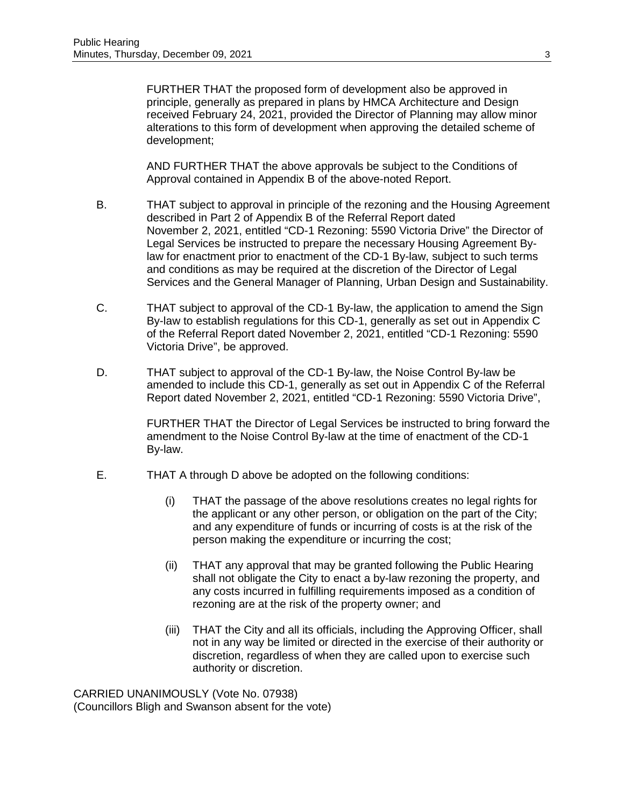FURTHER THAT the proposed form of development also be approved in principle, generally as prepared in plans by HMCA Architecture and Design received February 24, 2021, provided the Director of Planning may allow minor alterations to this form of development when approving the detailed scheme of development;

AND FURTHER THAT the above approvals be subject to the Conditions of Approval contained in Appendix B of the above-noted Report.

- B. THAT subject to approval in principle of the rezoning and the Housing Agreement described in Part 2 of Appendix B of the Referral Report dated November 2, 2021, entitled "CD-1 Rezoning: 5590 Victoria Drive" the Director of Legal Services be instructed to prepare the necessary Housing Agreement Bylaw for enactment prior to enactment of the CD-1 By-law, subject to such terms and conditions as may be required at the discretion of the Director of Legal Services and the General Manager of Planning, Urban Design and Sustainability.
- C. THAT subject to approval of the CD-1 By-law, the application to amend the Sign By-law to establish regulations for this CD-1, generally as set out in Appendix C of the Referral Report dated November 2, 2021, entitled "CD-1 Rezoning: 5590 Victoria Drive", be approved.
- D. THAT subject to approval of the CD-1 By-law, the Noise Control By-law be amended to include this CD-1, generally as set out in Appendix C of the Referral Report dated November 2, 2021, entitled "CD-1 Rezoning: 5590 Victoria Drive",

FURTHER THAT the Director of Legal Services be instructed to bring forward the amendment to the Noise Control By-law at the time of enactment of the CD-1 By-law.

- E. THAT A through D above be adopted on the following conditions:
	- (i) THAT the passage of the above resolutions creates no legal rights for the applicant or any other person, or obligation on the part of the City; and any expenditure of funds or incurring of costs is at the risk of the person making the expenditure or incurring the cost;
	- (ii) THAT any approval that may be granted following the Public Hearing shall not obligate the City to enact a by-law rezoning the property, and any costs incurred in fulfilling requirements imposed as a condition of rezoning are at the risk of the property owner; and
	- (iii) THAT the City and all its officials, including the Approving Officer, shall not in any way be limited or directed in the exercise of their authority or discretion, regardless of when they are called upon to exercise such authority or discretion.

CARRIED UNANIMOUSLY (Vote No. 07938) (Councillors Bligh and Swanson absent for the vote)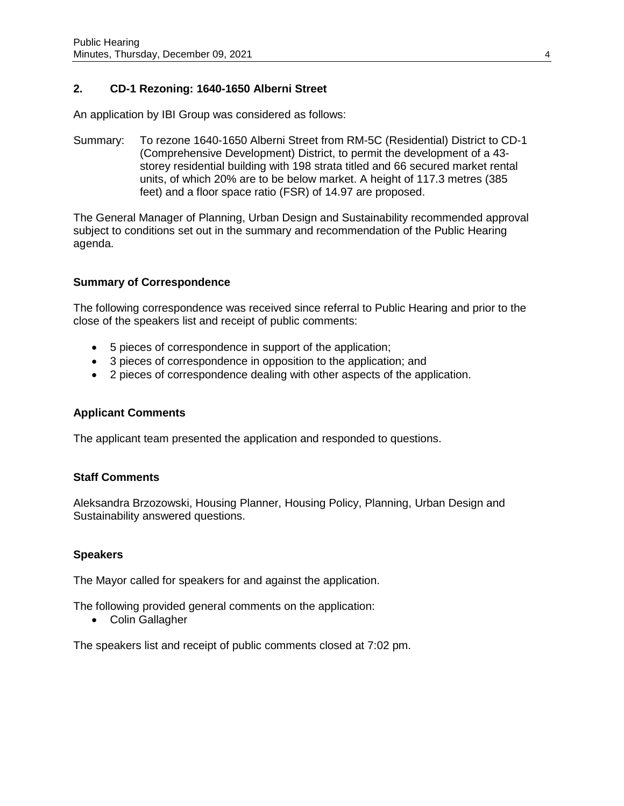# **2. CD-1 Rezoning: 1640-1650 Alberni Street**

An application by IBI Group was considered as follows:

Summary: To rezone 1640-1650 Alberni Street from RM-5C (Residential) District to CD-1 (Comprehensive Development) District, to permit the development of a 43 storey residential building with 198 strata titled and 66 secured market rental units, of which 20% are to be below market. A height of 117.3 metres (385 feet) and a floor space ratio (FSR) of 14.97 are proposed.

The General Manager of Planning, Urban Design and Sustainability recommended approval subject to conditions set out in the summary and recommendation of the Public Hearing agenda.

# **Summary of Correspondence**

The following correspondence was received since referral to Public Hearing and prior to the close of the speakers list and receipt of public comments:

- 5 pieces of correspondence in support of the application;
- 3 pieces of correspondence in opposition to the application; and
- 2 pieces of correspondence dealing with other aspects of the application.

#### **Applicant Comments**

The applicant team presented the application and responded to questions.

### **Staff Comments**

Aleksandra Brzozowski, Housing Planner, Housing Policy, Planning, Urban Design and Sustainability answered questions.

#### **Speakers**

The Mayor called for speakers for and against the application.

The following provided general comments on the application:

• Colin Gallagher

The speakers list and receipt of public comments closed at 7:02 pm.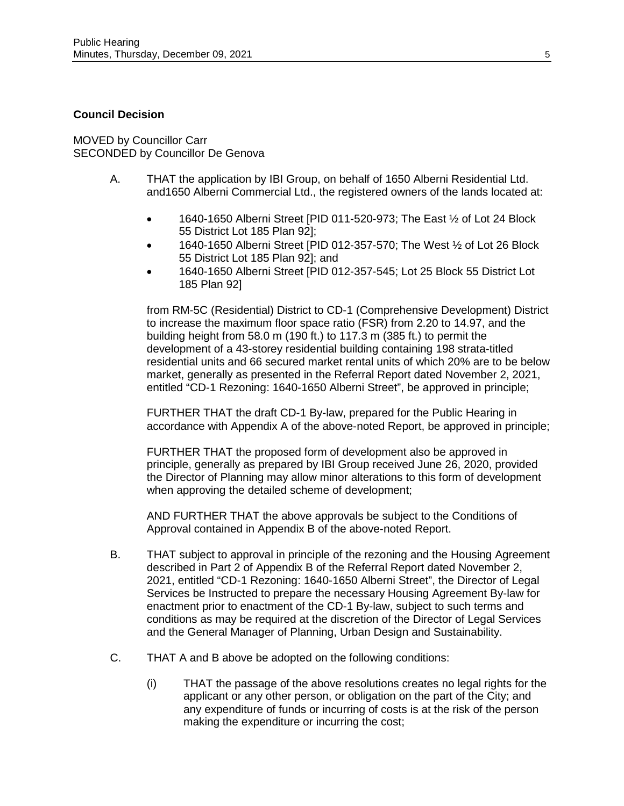### **Council Decision**

MOVED by Councillor Carr SECONDED by Councillor De Genova

- A. THAT the application by IBI Group, on behalf of 1650 Alberni Residential Ltd. and1650 Alberni Commercial Ltd., the registered owners of the lands located at:
	- 1640-1650 Alberni Street [PID 011-520-973; The East ½ of Lot 24 Block 55 District Lot 185 Plan 92];
	- 1640-1650 Alberni Street [PID 012-357-570; The West ½ of Lot 26 Block 55 District Lot 185 Plan 92]; and
	- 1640-1650 Alberni Street [PID 012-357-545; Lot 25 Block 55 District Lot 185 Plan 92]

from RM-5C (Residential) District to CD-1 (Comprehensive Development) District to increase the maximum floor space ratio (FSR) from 2.20 to 14.97, and the building height from 58.0 m (190 ft.) to 117.3 m (385 ft.) to permit the development of a 43-storey residential building containing 198 strata-titled residential units and 66 secured market rental units of which 20% are to be below market, generally as presented in the Referral Report dated November 2, 2021, entitled "CD-1 Rezoning: 1640-1650 Alberni Street", be approved in principle;

FURTHER THAT the draft CD-1 By-law, prepared for the Public Hearing in accordance with Appendix A of the above-noted Report, be approved in principle;

FURTHER THAT the proposed form of development also be approved in principle, generally as prepared by IBI Group received June 26, 2020, provided the Director of Planning may allow minor alterations to this form of development when approving the detailed scheme of development;

AND FURTHER THAT the above approvals be subject to the Conditions of Approval contained in Appendix B of the above-noted Report.

- B. THAT subject to approval in principle of the rezoning and the Housing Agreement described in Part 2 of Appendix B of the Referral Report dated November 2, 2021, entitled "CD-1 Rezoning: 1640-1650 Alberni Street", the Director of Legal Services be Instructed to prepare the necessary Housing Agreement By-law for enactment prior to enactment of the CD-1 By-law, subject to such terms and conditions as may be required at the discretion of the Director of Legal Services and the General Manager of Planning, Urban Design and Sustainability.
- C. THAT A and B above be adopted on the following conditions:
	- (i) THAT the passage of the above resolutions creates no legal rights for the applicant or any other person, or obligation on the part of the City; and any expenditure of funds or incurring of costs is at the risk of the person making the expenditure or incurring the cost;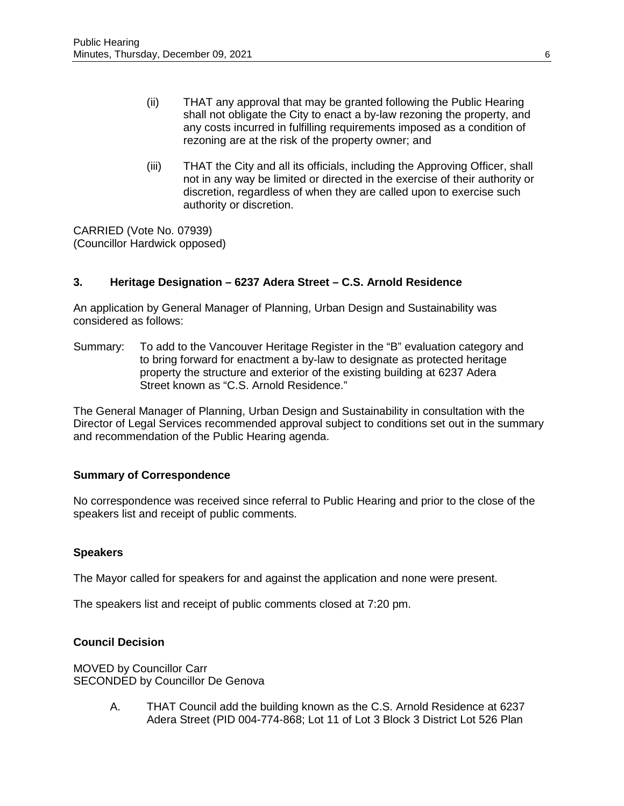- (ii) THAT any approval that may be granted following the Public Hearing shall not obligate the City to enact a by-law rezoning the property, and any costs incurred in fulfilling requirements imposed as a condition of rezoning are at the risk of the property owner; and
- (iii) THAT the City and all its officials, including the Approving Officer, shall not in any way be limited or directed in the exercise of their authority or discretion, regardless of when they are called upon to exercise such authority or discretion.

CARRIED (Vote No. 07939) (Councillor Hardwick opposed)

### **3. Heritage Designation – 6237 Adera Street – C.S. Arnold Residence**

An application by General Manager of Planning, Urban Design and Sustainability was considered as follows:

Summary: To add to the Vancouver Heritage Register in the "B" evaluation category and to bring forward for enactment a by-law to designate as protected heritage property the structure and exterior of the existing building at 6237 Adera Street known as "C.S. Arnold Residence."

The General Manager of Planning, Urban Design and Sustainability in consultation with the Director of Legal Services recommended approval subject to conditions set out in the summary and recommendation of the Public Hearing agenda.

#### **Summary of Correspondence**

No correspondence was received since referral to Public Hearing and prior to the close of the speakers list and receipt of public comments.

#### **Speakers**

The Mayor called for speakers for and against the application and none were present.

The speakers list and receipt of public comments closed at 7:20 pm.

#### **Council Decision**

MOVED by Councillor Carr SECONDED by Councillor De Genova

> A. THAT Council add the building known as the C.S. Arnold Residence at 6237 Adera Street (PID 004-774-868; Lot 11 of Lot 3 Block 3 District Lot 526 Plan